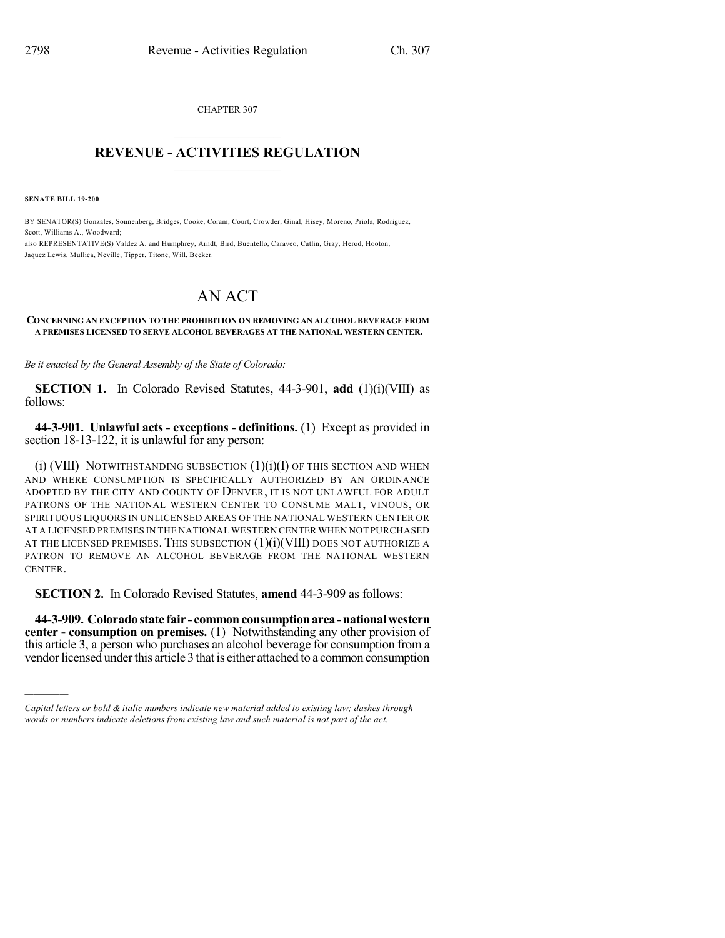CHAPTER 307  $\overline{\phantom{a}}$  . The set of the set of the set of the set of the set of the set of the set of the set of the set of the set of the set of the set of the set of the set of the set of the set of the set of the set of the set o

## **REVENUE - ACTIVITIES REGULATION**  $\_$   $\_$   $\_$   $\_$   $\_$   $\_$   $\_$   $\_$

**SENATE BILL 19-200**

)))))

BY SENATOR(S) Gonzales, Sonnenberg, Bridges, Cooke, Coram, Court, Crowder, Ginal, Hisey, Moreno, Priola, Rodriguez, Scott, Williams A., Woodward;

also REPRESENTATIVE(S) Valdez A. and Humphrey, Arndt, Bird, Buentello, Caraveo, Catlin, Gray, Herod, Hooton, Jaquez Lewis, Mullica, Neville, Tipper, Titone, Will, Becker.

## AN ACT

## **CONCERNING AN EXCEPTION TO THE PROHIBITION ON REMOVING AN ALCOHOL BEVERAGE FROM A PREMISES LICENSED TO SERVE ALCOHOL BEVERAGES AT THE NATIONAL WESTERN CENTER.**

*Be it enacted by the General Assembly of the State of Colorado:*

**SECTION 1.** In Colorado Revised Statutes, 44-3-901, **add** (1)(i)(VIII) as follows:

**44-3-901. Unlawful acts - exceptions - definitions.** (1) Except as provided in section 18-13-122, it is unlawful for any person:

 $(i)$  (VIII) NOTWITHSTANDING SUBSECTION  $(1)(i)$  of this section and when AND WHERE CONSUMPTION IS SPECIFICALLY AUTHORIZED BY AN ORDINANCE ADOPTED BY THE CITY AND COUNTY OF DENVER, IT IS NOT UNLAWFUL FOR ADULT PATRONS OF THE NATIONAL WESTERN CENTER TO CONSUME MALT, VINOUS, OR SPIRITUOUS LIQUORS IN UNLICENSED AREAS OF THE NATIONAL WESTERN CENTER OR AT A LICENSED PREMISES IN THE NATIONAL WESTERN CENTER WHEN NOT PURCHASED AT THE LICENSED PREMISES. THIS SUBSECTION  $(1)(i)(VIII)$  does not authorize a PATRON TO REMOVE AN ALCOHOL BEVERAGE FROM THE NATIONAL WESTERN CENTER.

**SECTION 2.** In Colorado Revised Statutes, **amend** 44-3-909 as follows:

**44-3-909. Colorado state fair - commonconsumptionarea-nationalwestern center - consumption on premises.** (1) Notwithstanding any other provision of this article 3, a person who purchases an alcohol beverage for consumption from a vendor licensed under this article 3 that is either attached to a common consumption

*Capital letters or bold & italic numbers indicate new material added to existing law; dashes through words or numbers indicate deletions from existing law and such material is not part of the act.*